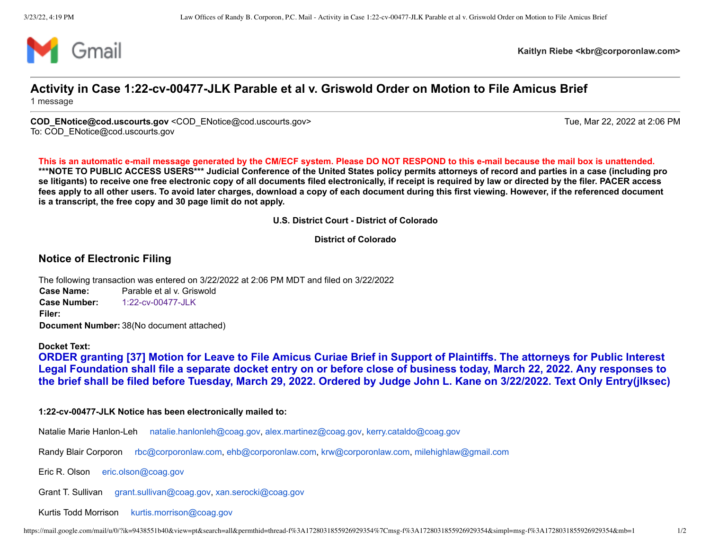

**Kaitlyn Riebe <kbr@corporonlaw.com>**

## **Activity in Case 1:22-cv-00477-JLK Parable et al v. Griswold Order on Motion to File Amicus Brief** 1 message

COD ENotice@cod.uscourts.gov <COD ENotice@cod.uscourts.gov> Tue, Mar 22, 2022 at 2:06 PM To: COD\_ENotice@cod.uscourts.gov

**This is an automatic e-mail message generated by the CM/ECF system. Please DO NOT RESPOND to this e-mail because the mail box is unattended. \*\*\*NOTE TO PUBLIC ACCESS USERS\*\*\* Judicial Conference of the United States policy permits attorneys of record and parties in a case (including pro se litigants) to receive one free electronic copy of all documents filed electronically, if receipt is required by law or directed by the filer. PACER access fees apply to all other users. To avoid later charges, download a copy of each document during this first viewing. However, if the referenced document is a transcript, the free copy and 30 page limit do not apply.**

**U.S. District Court - District of Colorado**

**District of Colorado**

## **Notice of Electronic Filing**

The following transaction was entered on 3/22/2022 at 2:06 PM MDT and filed on 3/22/2022 **Case Name:** Parable et al v. Griswold **Case Number:** [1:22-cv-00477-JLK](https://ecf.cod.uscourts.gov/cgi-bin/DktRpt.pl?213459) **Filer: Document Number:** 38(No document attached)

## **Docket Text:**

**ORDER granting [37] Motion for Leave to File Amicus Curiae Brief in Support of Plaintiffs. The attorneys for Public Interest Legal Foundation shall file a separate docket entry on or before close of business today, March 22, 2022. Any responses to the brief shall be filed before Tuesday, March 29, 2022. Ordered by Judge John L. Kane on 3/22/2022. Text Only Entry(jlksec)**

## **1:22-cv-00477-JLK Notice has been electronically mailed to:**

Natalie Marie Hanlon-Leh [natalie.hanlonleh@coag.gov,](mailto:natalie.hanlonleh@coag.gov) [alex.martinez@coag.gov](mailto:alex.martinez@coag.gov), [kerry.cataldo@coag.gov](mailto:kerry.cataldo@coag.gov)

Randy Blair Corporon [rbc@corporonlaw.com,](mailto:rbc@corporonlaw.com) [ehb@corporonlaw.com,](mailto:ehb@corporonlaw.com) [krw@corporonlaw.com](mailto:krw@corporonlaw.com), [milehighlaw@gmail.com](mailto:milehighlaw@gmail.com)

Eric R. Olson [eric.olson@coag.gov](mailto:eric.olson@coag.gov)

Grant T. Sullivan [grant.sullivan@coag.gov](mailto:grant.sullivan@coag.gov), [xan.serocki@coag.gov](mailto:xan.serocki@coag.gov)

Kurtis Todd Morrison [kurtis.morrison@coag.gov](mailto:kurtis.morrison@coag.gov)